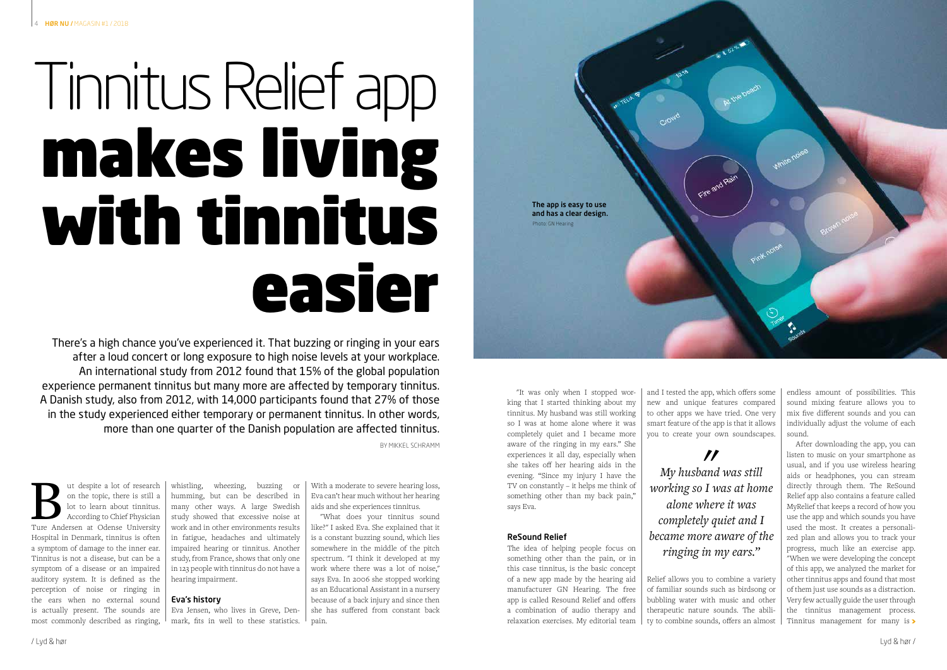"It was only when I stopped working that I started thinking about my tinnitus. My husband was still working so I was at home alone where it was completely quiet and I became more aware of the ringing in my ears." She experiences it all day, especially when she takes off her hearing aids in the evening. "Since my injury I have the TV on constantly – it helps me think of something other than my back pain," says Eva.

#### ReSound Relief

The idea of helping people focus on something other than the pain, or in this case tinnitus, is the basic concept of a new app made by the hearing aid manufacturer GN Hearing. The free app is called Resound Relief and offers a combination of audio therapy and relaxation exercises. My editorial team

IV ut despite a lot of research<br>
on the topic, there is still a<br>
lot to learn about tinnitus.<br>
According to Chief Physician<br>
Ture Andersen at Odense University on the topic, there is still a lot to learn about tinnitus. According to Chief Physician Hospital in Denmark, tinnitus is often a symptom of damage to the inner ear. Tinnitus is not a disease, but can be a symptom of a disease or an impaired auditory system. It is defined as the perception of noise or ringing in the ears when no external sound is actually present. The sounds are most commonly described as ringing,

After downloading the app, you can listen to music on your smartphone as usual, and if you use wireless hearing aids or headphones, you can stream directly through them. The ReSound Relief app also contains a feature called MyRelief that keeps a record of how you use the app and which sounds you have used the most. It creates a personalized plan and allows you to track your progress, much like an exercise app. "When we were developing the concept of this app, we analyzed the market for other tinnitus apps and found that most of them just use sounds as a distraction. Very few actually guide the user through the tinnitus management process. Tinnitus management for many is >

and I tested the app, which offers some new and unique features compared to other apps we have tried. One very smart feature of the app is that it allows you to create your own soundscapes.

 $\boldsymbol{\prime\prime}$ 

Relief allows you to combine a variety of familiar sounds such as birdsong or bubbling water with music and other therapeutic nature sounds. The ability to combine sounds, offers an almost endless amount of possibilities. This sound mixing feature allows you to mix five different sounds and you can individually adjust the volume of each sound.

whistling, wheezing, buzzing or humming, but can be described in many other ways. A large Swedish study showed that excessive noise at work and in other environments results in fatigue, headaches and ultimately impaired hearing or tinnitus. Another study, from France, shows that only one in 123 people with tinnitus do not have a hearing impairment.

#### Eva's history

Eva Jensen, who lives in Greve, Denmark, fits in well to these statistics. With a moderate to severe hearing loss, Eva can't hear much without her hearing aids and she experiences tinnitus.

"What does your tinnitus sound like?" I asked Eva. She explained that it is a constant buzzing sound, which lies somewhere in the middle of the pitch spectrum. "I think it developed at my work where there was a lot of noise," says Eva. In 2006 she stopped working as an Educational Assistant in a nursery because of a back injury and since then she has suffered from constant back pain.

# Tinnitus Relief app makes living with tinnitus easier

There's a high chance you've experienced it. That buzzing or ringing in your ears after a loud concert or long exposure to high noise levels at your workplace. An international study from 2012 found that 15% of the global population experience permanent tinnitus but many more are affected by temporary tinnitus. A Danish study, also from 2012, with 14,000 participants found that 27% of those in the study experienced either temporary or permanent tinnitus. In other words, more than one quarter of the Danish population are affected tinnitus.

BY MIKKEL SCHRAMM

*My husband was still working so I was at home alone where it was completely quiet and I became more aware of the ringing in my ears."* 



The app is easy to use and has a clear design. Photo: GN Hearing